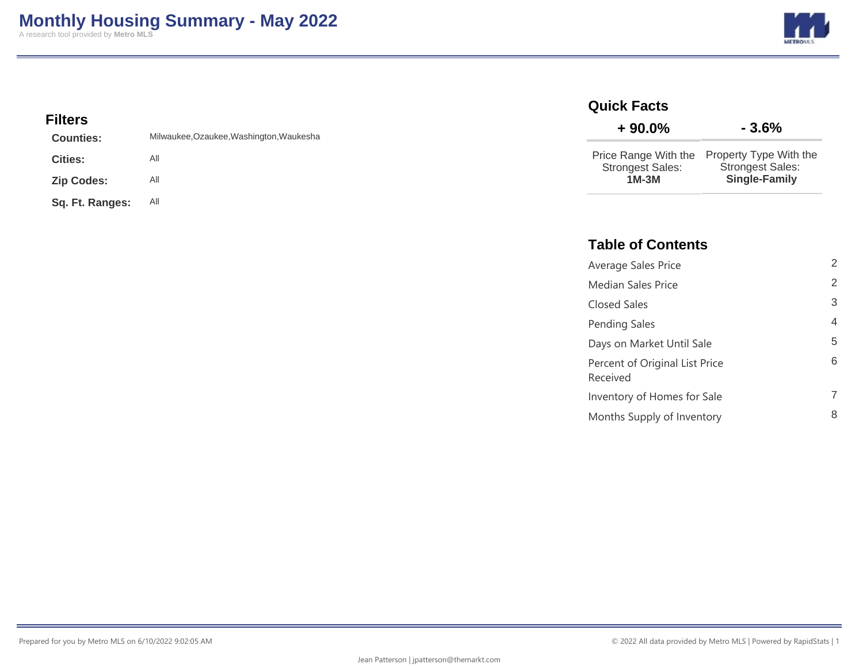**METRO** 

### **Filters**

| <b>Counties:</b>  | Milwaukee, Ozaukee, Washington, Waukesha |
|-------------------|------------------------------------------|
| <b>Cities:</b>    | All                                      |
| <b>Zip Codes:</b> | All                                      |
| Sq. Ft. Ranges:   | All                                      |

#### **Quick Facts**

| $+90.0\%$                          | $-3.6%$                                                                                        |
|------------------------------------|------------------------------------------------------------------------------------------------|
| <b>Strongest Sales:</b><br>$1M-3M$ | Price Range With the Property Type With the<br><b>Strongest Sales:</b><br><b>Single-Family</b> |

### **Table of Contents**

| Average Sales Price                        | 2 |
|--------------------------------------------|---|
| <b>Median Sales Price</b>                  | 2 |
| Closed Sales                               | 3 |
| Pending Sales                              | 4 |
| Days on Market Until Sale                  | 5 |
| Percent of Original List Price<br>Received | 6 |
| Inventory of Homes for Sale                |   |
| Months Supply of Inventory                 | 8 |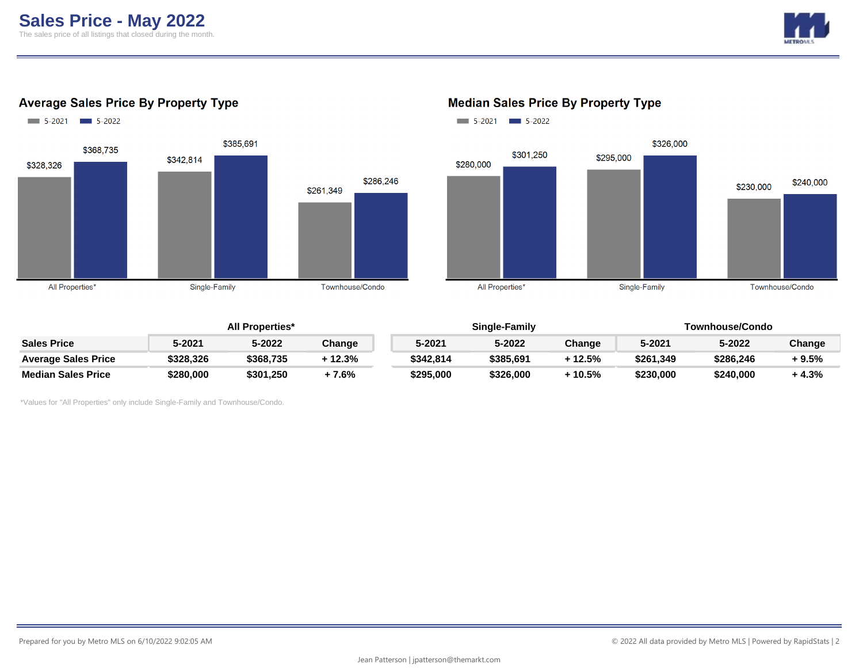

#### **Average Sales Price By Property Type**





#### **Median Sales Price By Property Type**

|                            | <b>All Properties*</b> |           |        |  |           | Single-Family |        | Townhouse/Condo |           |         |
|----------------------------|------------------------|-----------|--------|--|-----------|---------------|--------|-----------------|-----------|---------|
| <b>Sales Price</b>         | 5-2021                 | 5-2022    | Change |  | 5-2021    | 5-2022        | Change | 5-2021          | 5-2022    | Change  |
| <b>Average Sales Price</b> | \$328,326              | \$368.735 | 12.3%  |  | \$342,814 | \$385.691     | 12.5%  | \$261,349       | \$286.246 | + 9.5%  |
| <b>Median Sales Price</b>  | \$280,000              | \$301.250 | + 7.6% |  | \$295,000 | \$326.000     | 10.5%  | \$230.000       | \$240,000 | $+4.3%$ |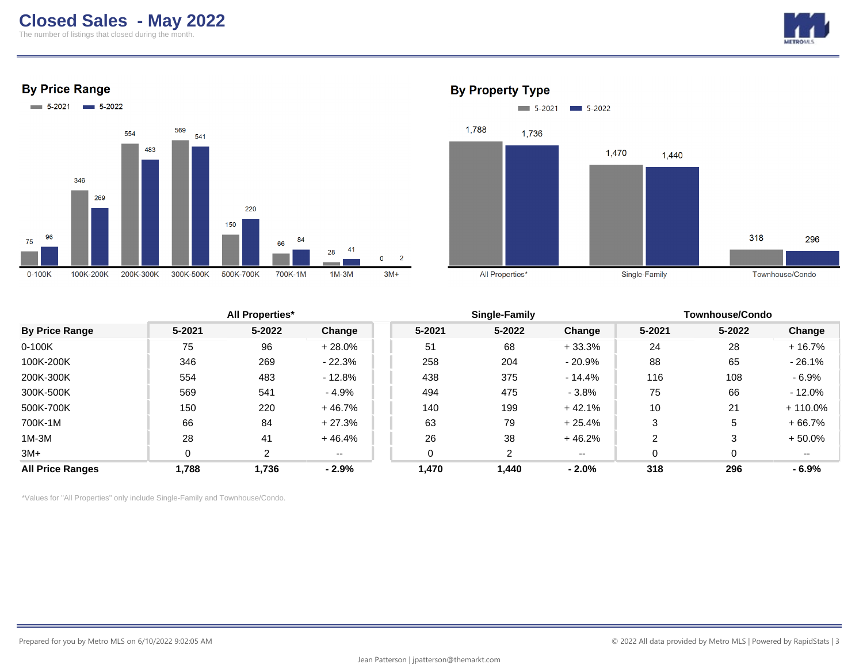The number of listings that closed during the month.







#### **By Property Type**



|                         |        | <b>All Properties*</b> |          |        | Single-Family |               | <b>Townhouse/Condo</b> |        |            |
|-------------------------|--------|------------------------|----------|--------|---------------|---------------|------------------------|--------|------------|
| <b>By Price Range</b>   | 5-2021 | 5-2022                 | Change   | 5-2021 | 5-2022        | Change        | 5-2021                 | 5-2022 | Change     |
| $0-100K$                | 75     | 96                     | $+28.0%$ | 51     | 68            | $+33.3%$      | 24                     | 28     | + 16.7%    |
| 100K-200K               | 346    | 269                    | $-22.3%$ | 258    | 204           | $-20.9%$      | 88                     | 65     | $-26.1%$   |
| 200K-300K               | 554    | 483                    | $-12.8%$ | 438    | 375           | $-14.4%$      | 116                    | 108    | $-6.9%$    |
| 300K-500K               | 569    | 541                    | $-4.9%$  | 494    | 475           | $-3.8%$       | 75                     | 66     | - 12.0%    |
| 500K-700K               | 150    | 220                    | $+46.7%$ | 140    | 199           | $+42.1%$      | 10                     | 21     | $+110.0\%$ |
| 700K-1M                 | 66     | 84                     | $+27.3%$ | 63     | 79            | $+25.4%$      | 3                      | 5      | $+66.7%$   |
| $1M-3M$                 | 28     | 41                     | $+46.4%$ | 26     | 38            | $+46.2%$      | 2                      | 3      | $+50.0%$   |
| $3M+$                   |        | ົ                      | $- -$    |        | 2             | $\sim$ $\sim$ | 0                      | 0      | --         |
| <b>All Price Ranges</b> | 1,788  | 1,736                  | $-2.9%$  | 1,470  | 1,440         | $-2.0%$       | 318                    | 296    | $-6.9%$    |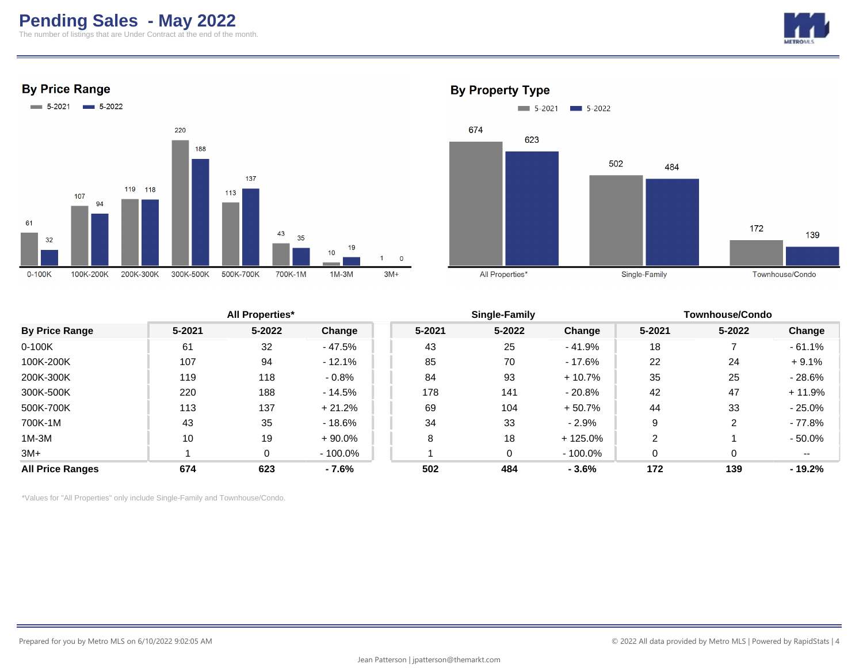# **Pending Sales - May 2022**

The number of listings that are Under Contract at the end of the month.



**By Price Range** 





## **By Property Type**

|        |        |                        |        |            |               | <b>Townhouse/Condo</b> |        |           |
|--------|--------|------------------------|--------|------------|---------------|------------------------|--------|-----------|
| 5-2021 | 5-2022 | Change                 | 5-2021 | $5 - 2022$ | Change        | 5-2021                 | 5-2022 | Change    |
| 61     | 32     | $-47.5%$               | 43     | 25         | - 41.9%       | 18                     |        | $-61.1%$  |
| 107    | 94     | $-12.1%$               | 85     | 70         | - 17.6%       | 22                     | 24     | $+9.1%$   |
| 119    | 118    | $-0.8%$                | 84     | 93         | $+10.7%$      | 35                     | 25     | $-28.6%$  |
| 220    | 188    | - 14.5%                | 178    | 141        | - 20.8%       | 42                     | 47     | + 11.9%   |
| 113    | 137    | $+21.2%$               | 69     | 104        | $+50.7%$      | 44                     | 33     | $-25.0%$  |
| 43     | 35     | $-18.6%$               | 34     | 33         | $-2.9%$       | 9                      |        | - 77.8%   |
| 10     | 19     | $+90.0%$               | 8      | 18         | $+125.0%$     |                        |        | $-50.0\%$ |
|        | 0      | $-100.0\%$             |        | $\Omega$   | $-100.0\%$    |                        |        | $- -$     |
| 674    | 623    | - 7.6%                 | 502    | 484        | $-3.6%$       | 172                    | 139    | $-19.2%$  |
|        |        | <b>All Properties*</b> |        |            | Single-Family |                        |        |           |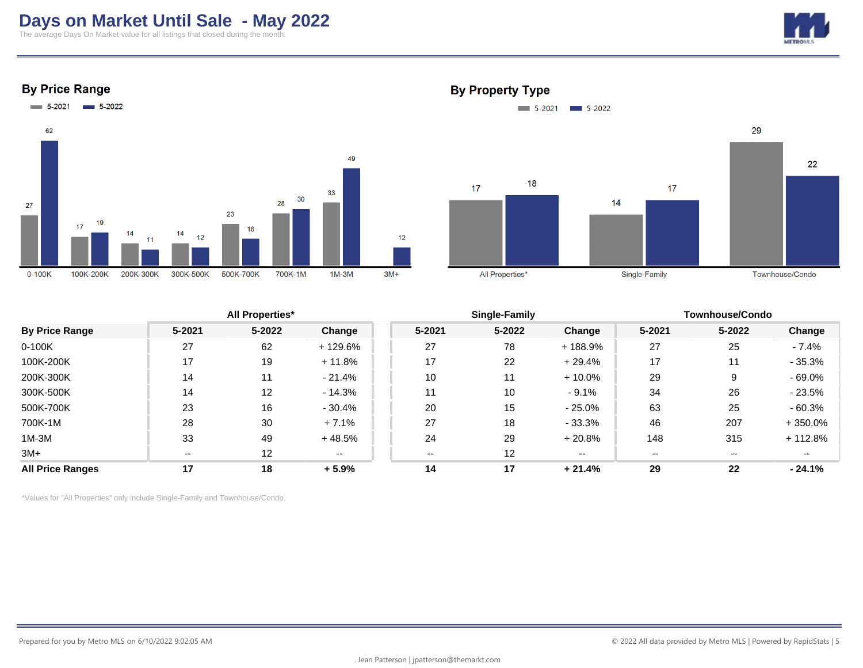# **Days on Market Until Sale - May 2022**

The average Days On Market value for all listings that closed during the month.



#### **By Price Range**



#### **By Property Type**



|                         |        | <b>All Properties*</b> |          |        | Single-Family     |          | <b>Townhouse/Condo</b> |        |           |
|-------------------------|--------|------------------------|----------|--------|-------------------|----------|------------------------|--------|-----------|
| <b>By Price Range</b>   | 5-2021 | $5 - 2022$             | Change   | 5-2021 | 5-2022            | Change   | 5-2021                 | 5-2022 | Change    |
| 0-100K                  | 27     | 62                     | + 129.6% | 27     | 78                | + 188.9% | 27                     | 25     | $-7.4\%$  |
| 100K-200K               | 17     | 19                     | $+11.8%$ | 17     | 22                | $+29.4%$ | 17                     | 11     | $-35.3%$  |
| 200K-300K               | 14     | 11                     | $-21.4%$ | 10     | 11                | $+10.0%$ | 29                     | 9      | $-69.0%$  |
| 300K-500K               | 14     | 12                     | $-14.3%$ | 11     | 10                | $-9.1%$  | 34                     | 26     | $-23.5%$  |
| 500K-700K               | 23     | 16                     | $-30.4%$ | 20     | 15                | $-25.0%$ | 63                     | 25     | $-60.3%$  |
| 700K-1M                 | 28     | 30                     | $+7.1%$  | 27     | 18                | $-33.3%$ | 46                     | 207    | $+350.0%$ |
| $1M-3M$                 | 33     | 49                     | $+48.5%$ | 24     | 29                | $+20.8%$ | 148                    | 315    | $+112.8%$ |
| $3M+$                   | $- -$  | 12                     | $- -$    |        | $12 \overline{ }$ | $- -$    | --                     | --     | $- -$     |
| <b>All Price Ranges</b> | 17     | 18                     | $+5.9%$  | 14     | 17                | $+21.4%$ | 29                     | 22     | $-24.1%$  |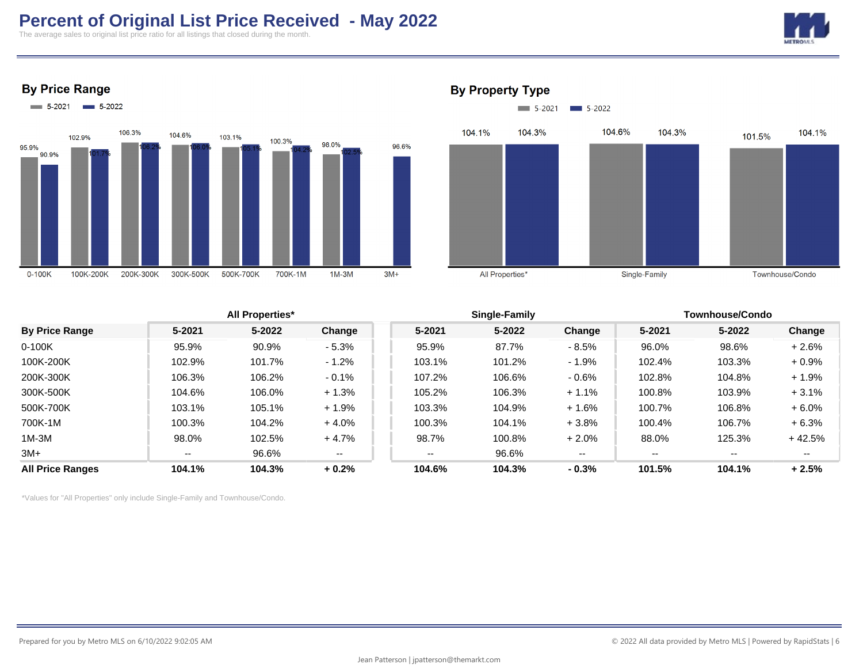# **Percent of Original List Price Received - May 2022**

The average sales to original list price ratio for all listings that closed during the month.







#### **By Property Type**



|        |        |                        |        |        |          | <b>Townhouse/Condo</b> |               |          |
|--------|--------|------------------------|--------|--------|----------|------------------------|---------------|----------|
| 5-2021 | 5-2022 | Change                 | 5-2021 | 5-2022 | Change   | 5-2021                 | 5-2022        | Change   |
| 95.9%  | 90.9%  | $-5.3%$                | 95.9%  | 87.7%  | $-8.5%$  | 96.0%                  | 98.6%         | $+2.6%$  |
| 102.9% | 101.7% | $-1.2%$                | 103.1% | 101.2% | $-1.9%$  | 102.4%                 | 103.3%        | $+0.9%$  |
| 106.3% | 106.2% | $-0.1%$                | 107.2% | 106.6% | $-0.6\%$ | 102.8%                 | 104.8%        | $+1.9%$  |
| 104.6% | 106.0% | $+1.3%$                | 105.2% | 106.3% | $+1.1%$  | 100.8%                 | 103.9%        | $+3.1%$  |
| 103.1% | 105.1% | $+1.9%$                | 103.3% | 104.9% | $+1.6%$  | 100.7%                 | 106.8%        | $+6.0%$  |
| 100.3% | 104.2% | $+4.0%$                | 100.3% | 104.1% | $+3.8%$  | 100.4%                 | 106.7%        | $+6.3%$  |
| 98.0%  | 102.5% | $+4.7%$                | 98.7%  | 100.8% | $+2.0%$  | 88.0%                  | 125.3%        | $+42.5%$ |
| $- -$  | 96.6%  | --                     | $- -$  | 96.6%  | $- -$    | $- -$                  | $- -$         | $- -$    |
| 104.1% | 104.3% | $+0.2%$                | 104.6% | 104.3% | $-0.3%$  | 101.5%                 | 104.1%        | $+2.5%$  |
|        |        | <b>All Properties*</b> |        |        |          |                        | Single-Family |          |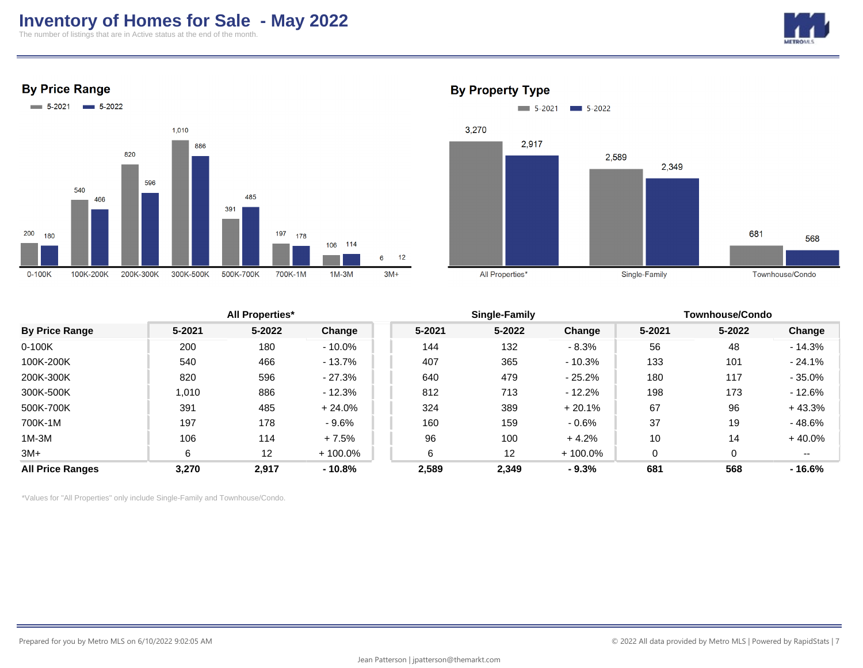## **Inventory of Homes for Sale - May 2022**

The number of listings that are in Active status at the end of the month.



**By Price Range** 





#### **By Property Type**

|                         |        | <b>All Properties*</b> |            |        | Single-Family |            | <b>Townhouse/Condo</b> |            |          |
|-------------------------|--------|------------------------|------------|--------|---------------|------------|------------------------|------------|----------|
| <b>By Price Range</b>   | 5-2021 | 5-2022                 | Change     | 5-2021 | 5-2022        | Change     | 5-2021                 | $5 - 2022$ | Change   |
| $0-100K$                | 200    | 180                    | - 10.0%    | 144    | 132           | $-8.3%$    | 56                     | 48         | $-14.3%$ |
| 100K-200K               | 540    | 466                    | $-13.7%$   | 407    | 365           | $-10.3%$   | 133                    | 101        | $-24.1%$ |
| 200K-300K               | 820    | 596                    | - 27.3%    | 640    | 479           | - 25.2%    | 180                    | 117        | $-35.0%$ |
| 300K-500K               | 1,010  | 886                    | $-12.3%$   | 812    | 713           | $-12.2\%$  | 198                    | 173        | $-12.6%$ |
| 500K-700K               | 391    | 485                    | $+24.0%$   | 324    | 389           | $+20.1%$   | 67                     | 96         | $+43.3%$ |
| 700K-1M                 | 197    | 178                    | $-9.6%$    | 160    | 159           | $-0.6%$    | 37                     | 19         | $-48.6%$ |
| $1M-3M$                 | 106    | 114                    | $+7.5%$    | 96     | 100           | $+4.2%$    | 10                     | 14         | $+40.0%$ |
| $3M+$                   | 6      | 12                     | $+100.0\%$ | 6      | 12            | $+100.0\%$ | 0                      |            | $- -$    |
| <b>All Price Ranges</b> | 3,270  | 2,917                  | $-10.8%$   | 2,589  | 2,349         | $-9.3%$    | 681                    | 568        | $-16.6%$ |